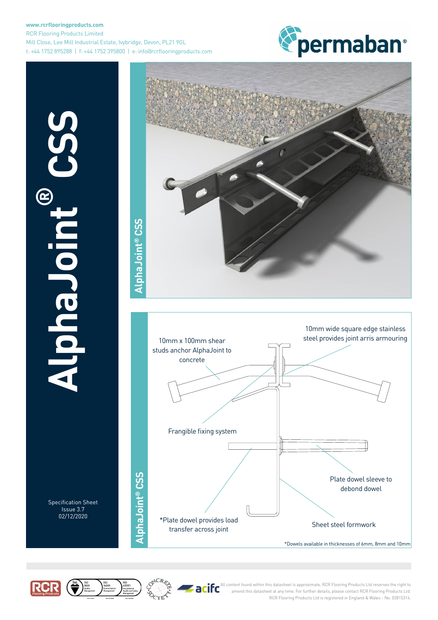### **www.rcrflooringproducts.com** RCR Flooring Products Limited Mill Close, Lee Mill Industrial Estate, Ivybridge, Devon, PL21 9GL t: +44 1752 895288 | f: +44 1752 395800 | e: info@rcrflooringproducts.com



**AlphaJoint B** COLONIA

> Specification Sheet Issue 3.7 02/12/2020





\*Dowels available in thicknesses of 6mm, 8mm and 10mm





All content found within this datasheet is approximate. RCR Flooring Products Ltd reserves the right to amend this datasheet at any time. For further details, please contact RCR Flooring Products Ltd. RCR Flooring Products Ltd is registered in England & Wales - No. 02815314.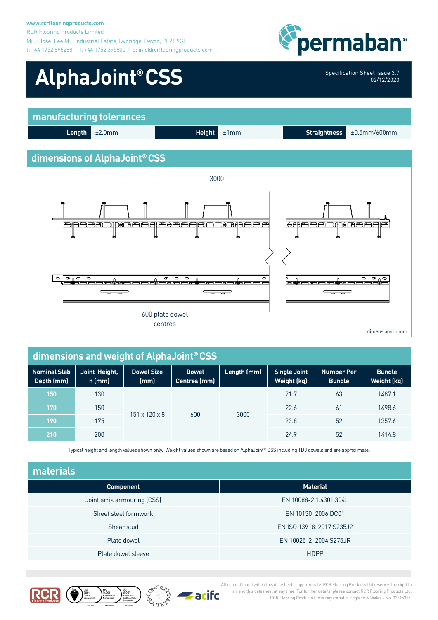#### **www.rcrflooringproducts.com** RCR Flooring Products Limited Mill Close, Lee Mill Industrial Estate, Ivybridge, Devon, PL21 9GL t: +44 1752 895288 | f: +44 1752 395800 | e: info@rcrflooringproducts.com



02/12/2020

**Bundle Weight (kg)**

# AlphaJoint® CSS Specification Sheet Issue 3.7





| dimensions and weight of AlphaJoint® CSS |                           |                                     |             |                                    |                                    |  |
|------------------------------------------|---------------------------|-------------------------------------|-------------|------------------------------------|------------------------------------|--|
| Joint Height,<br>h (mm)                  | <b>Dowel Size</b><br>(mm) | <b>Dowel</b><br><b>Centres (mm)</b> | Length (mm) | <b>Single Joint</b><br>Weight (kg) | <b>Number Per</b><br><b>Bundle</b> |  |
| 130                                      |                           |                                     |             | 21.7                               | 63                                 |  |
|                                          |                           |                                     |             |                                    |                                    |  |

| $150^{\circ}$ | 130 | $151 \times 120 \times 8$<br>600 |  | 3000 | 21.7 | 63 | 1487.1 |
|---------------|-----|----------------------------------|--|------|------|----|--------|
| 170           | 150 |                                  |  |      | 22.6 | 6  | 1498.6 |
| 190           | 175 |                                  |  |      | 23.8 | 52 | 1357.6 |
| 210           | 200 |                                  |  |      | 24.9 | 52 | 1414.8 |

Typical height and length values shown only. Weight values shown are based on AlphaJoint® CSS including TD8 dowels and are approximate.

| materials                   |                           |  |  |  |
|-----------------------------|---------------------------|--|--|--|
| <b>Component</b>            | <b>Material</b>           |  |  |  |
| Joint arris armouring (CSS) | EN 10088-2 1.4301 304L    |  |  |  |
| Sheet steel formwork        | EN 10130: 2006 DC01       |  |  |  |
| Shear stud                  | EN ISO 13918: 2017 S235J2 |  |  |  |
| Plate dowel                 | EN 10025-2: 2004 S275JR   |  |  |  |
| Plate dowel sleeve          | <b>HDPP</b>               |  |  |  |







All content found within this datasheet is approximate. RCR Flooring Products Ltd reserves the right to amend this datasheet at any time. For further details, please contact RCR Flooring Products Ltd. RCR Flooring Products Ltd is registered in England & Wales - No. 02815314.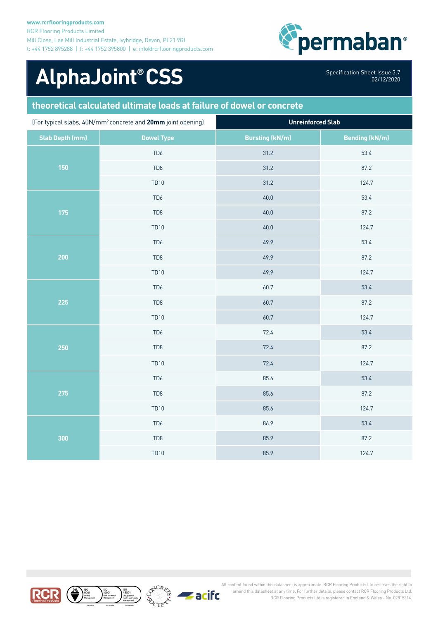

## AlphaJoint® CSS Specification Sheet Issue 3.7

02/12/2020

### **theoretical calculated ultimate loads at failure of dowel or concrete**

| (For typical slabs, 40N/mm <sup>2</sup> concrete and 20mm joint opening) |                   | <b>Unreinforced Slab</b> |                       |  |
|--------------------------------------------------------------------------|-------------------|--------------------------|-----------------------|--|
| <b>Slab Depth (mm)</b>                                                   | <b>Dowel Type</b> | <b>Bursting (kN/m)</b>   | <b>Bending (kN/m)</b> |  |
| 150                                                                      | TD <sub>6</sub>   | 31.2                     | 53.4                  |  |
|                                                                          | TD <sub>8</sub>   | 31.2                     | 87.2                  |  |
|                                                                          | <b>TD10</b>       | 31.2                     | 124.7                 |  |
|                                                                          | TD <sub>6</sub>   | 40.0                     | 53.4                  |  |
| 175                                                                      | TD <sub>8</sub>   | 40.0                     | 87.2                  |  |
|                                                                          | <b>TD10</b>       | 40.0                     | 124.7                 |  |
|                                                                          | TD6               | 49.9                     | 53.4                  |  |
| 200                                                                      | TD <sub>8</sub>   | 49.9                     | 87.2                  |  |
|                                                                          | <b>TD10</b>       | 49.9                     | 124.7                 |  |
| 225                                                                      | TD <sub>6</sub>   | 60.7                     | 53.4                  |  |
|                                                                          | TD8               | 60.7                     | 87.2                  |  |
|                                                                          | <b>TD10</b>       | 60.7                     | 124.7                 |  |
| 250                                                                      | TD <sub>6</sub>   | 72.4                     | 53.4                  |  |
|                                                                          | TD <sub>8</sub>   | 72.4                     | 87.2                  |  |
|                                                                          | <b>TD10</b>       | 72.4                     | 124.7                 |  |
| 275                                                                      | TD6               | 85.6                     | 53.4                  |  |
|                                                                          | TD <sub>8</sub>   | 85.6                     | 87.2                  |  |
|                                                                          | <b>TD10</b>       | 85.6                     | 124.7                 |  |
| 300                                                                      | TD <sub>6</sub>   | 86.9                     | 53.4                  |  |
|                                                                          | TD <sub>8</sub>   | 85.9                     | 87.2                  |  |
|                                                                          | <b>TD10</b>       | 85.9                     | 124.7                 |  |